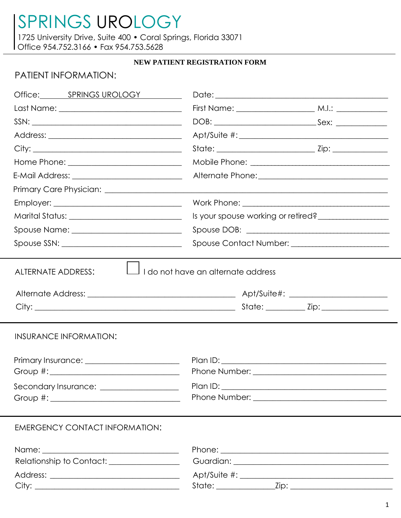1725 University Drive, Suite 400 · Coral Springs, Florida 33071 Office 954.752.3166 • Fax 954.753.5628

### NEW PATIENT REGISTRATION FORM

## PATIENT INFORMATION:

| Office: SPRINGS UROLOGY                                                                                       |                                                 |  |  |
|---------------------------------------------------------------------------------------------------------------|-------------------------------------------------|--|--|
|                                                                                                               |                                                 |  |  |
| $SSN: \begin{tabular}{@{}c@{}} \quad \quad & \quad \quad & \quad \quad & \quad \quad \\ \hline \end{tabular}$ |                                                 |  |  |
|                                                                                                               |                                                 |  |  |
|                                                                                                               |                                                 |  |  |
|                                                                                                               |                                                 |  |  |
|                                                                                                               |                                                 |  |  |
|                                                                                                               |                                                 |  |  |
|                                                                                                               |                                                 |  |  |
| Marital Status: ______________________________                                                                | Is your spouse working or retired?              |  |  |
|                                                                                                               |                                                 |  |  |
|                                                                                                               | Spouse Contact Number: ________________________ |  |  |
| INSURANCE INFORMATION:<br>Secondary Insurance: __________________                                             |                                                 |  |  |
| <b>EMERGENCY CONTACT INFORMATION:</b><br>Relationship to Contact: ________________                            |                                                 |  |  |
| City:                                                                                                         |                                                 |  |  |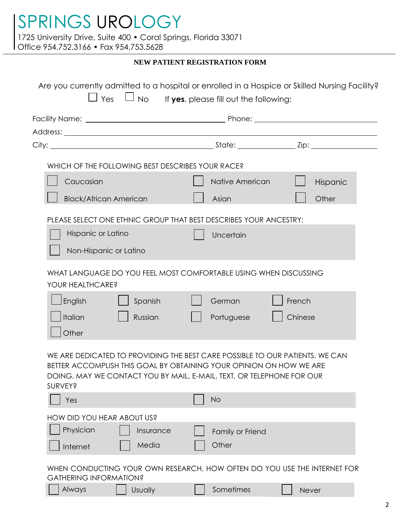1725 University Drive, Suite 400 • Coral Springs, Florida 33071

Office 954.752.3166 • Fax 954.753.5628

### **NEW PATIENT REGISTRATION FORM**

| WHICH OF THE FOLLOWING BEST DESCRIBES YOUR RACE? |                               |           |                                                                                                                                                                                                                              |         |          |
|--------------------------------------------------|-------------------------------|-----------|------------------------------------------------------------------------------------------------------------------------------------------------------------------------------------------------------------------------------|---------|----------|
| Caucasian                                        |                               |           | Native American                                                                                                                                                                                                              |         | Hispanic |
|                                                  | <b>Black/African American</b> |           | Asian                                                                                                                                                                                                                        |         | Other    |
|                                                  |                               |           | PLEASE SELECT ONE ETHNIC GROUP THAT BEST DESCRIBES YOUR ANCESTRY:                                                                                                                                                            |         |          |
|                                                  | Hispanic or Latino            |           | Uncertain                                                                                                                                                                                                                    |         |          |
|                                                  |                               |           |                                                                                                                                                                                                                              |         |          |
|                                                  |                               |           |                                                                                                                                                                                                                              |         |          |
|                                                  | Non-Hispanic or Latino        |           |                                                                                                                                                                                                                              |         |          |
| YOUR HEALTHCARE?                                 |                               |           | WHAT LANGUAGE DO YOU FEEL MOST COMFORTABLE USING WHEN DISCUSSING                                                                                                                                                             |         |          |
| English                                          |                               | Spanish   | German                                                                                                                                                                                                                       | French  |          |
| Italian                                          |                               | Russian   | Portuguese                                                                                                                                                                                                                   | Chinese |          |
| Other                                            |                               |           |                                                                                                                                                                                                                              |         |          |
| <b>SURVEY?</b>                                   |                               |           | WE ARE DEDICATED TO PROVIDING THE BEST CARE POSSIBLE TO OUR PATIENTS. WE CAN<br>BETTER ACCOMPLISH THIS GOAL BY OBTAINING YOUR OPINION ON HOW WE ARE<br>DOING. MAY WE CONTACT YOU BY MAIL, E-MAIL, TEXT, OR TELEPHONE FOR OUR |         |          |
| Yes                                              |                               |           | <b>No</b>                                                                                                                                                                                                                    |         |          |
| HOW DID YOU HEAR ABOUT US?                       |                               |           |                                                                                                                                                                                                                              |         |          |
| Physician                                        |                               | Insurance | Family or Friend                                                                                                                                                                                                             |         |          |
| Internet                                         |                               | Media     | Other                                                                                                                                                                                                                        |         |          |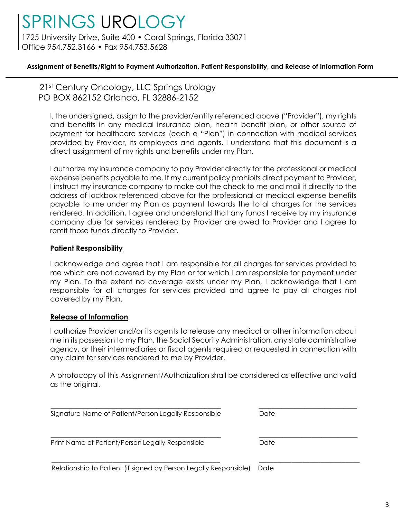1725 University Drive, Suite 400 · Coral Springs, Florida 33071 Office 954.752.3166 • Fax 954.753.5628

### **Assignment of Benefits/Right to Payment Authorization, Patient Responsibility, and Release of Information Form**

21st Century Oncology, LLC Springs Urology PO BOX 862152 Orlando, FL 32886-2152

I, the undersigned, assign to the provider/entity referenced above ("Provider"), my rights and benefits in any medical insurance plan, health benefit plan, or other source of payment for healthcare services (each a "Plan") in connection with medical services provided by Provider, its employees and agents. I understand that this document is a direct assignment of my rights and benefits under my Plan.

I authorize my insurance company to pay Provider directly for the professional or medical expense benefits payable to me. If my current policy prohibits direct payment to Provider, I instruct my insurance company to make out the check to me and mail it directly to the address of lockbox referenced above for the professional or medical expense benefits payable to me under my Plan as payment towards the total charges for the services rendered. In addition, I agree and understand that any funds I receive by my insurance company due for services rendered by Provider are owed to Provider and I agree to remit those funds directly to Provider.

### **Patient Responsibility**

I acknowledge and agree that I am responsible for all charges for services provided to me which are not covered by my Plan or for which I am responsible for payment under my Plan. To the extent no coverage exists under my Plan, I acknowledge that I am responsible for all charges for services provided and agree to pay all charges not covered by my Plan.

### **Release of Information**

I authorize Provider and/or its agents to release any medical or other information about me in its possession to my Plan, the Social Security Administration, any state administrative agency, or their intermediaries or fiscal agents required or requested in connection with any claim for services rendered to me by Provider.

A photocopy of this Assignment/Authorization shall be considered as effective and valid as the original.

| Signature Name of Patient/Person Legally Responsible              | Date |
|-------------------------------------------------------------------|------|
| Print Name of Patient/Person Legally Responsible                  | Date |
| Relationship to Patient (if signed by Person Legally Responsible) | Date |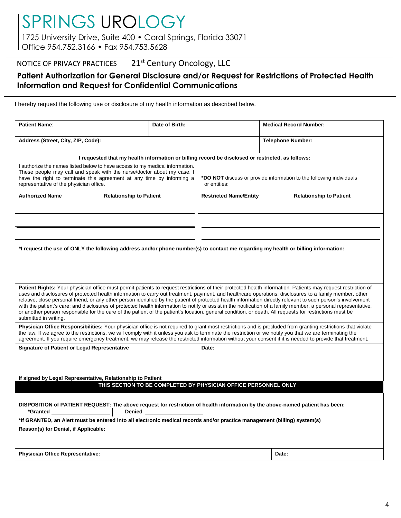1725 University Drive, Suite 400 • Coral Springs, Florida 33071 Office 954.752.3166 • Fax 954.753.5628

## NOTICE OF PRIVACY PRACTICES 21<sup>st</sup> Century Oncology, LLC

### **Patient Authorization for General Disclosure and/or Request for Restrictions of Protected Health Information and Request for Confidential Communications**

I hereby request the following use or disclosure of my health information as described below.

| <b>Patient Name:</b>                                                                                                                                                                                                                                                                                                                                                                                                                                                                                                                                                                                                                                                                                                                                                                                                                            | Date of Birth:                                                                                                                                                                                                                                  |       | <b>Medical Record Number:</b>                                               |  |  |
|-------------------------------------------------------------------------------------------------------------------------------------------------------------------------------------------------------------------------------------------------------------------------------------------------------------------------------------------------------------------------------------------------------------------------------------------------------------------------------------------------------------------------------------------------------------------------------------------------------------------------------------------------------------------------------------------------------------------------------------------------------------------------------------------------------------------------------------------------|-------------------------------------------------------------------------------------------------------------------------------------------------------------------------------------------------------------------------------------------------|-------|-----------------------------------------------------------------------------|--|--|
| Address (Street, City, ZIP, Code):                                                                                                                                                                                                                                                                                                                                                                                                                                                                                                                                                                                                                                                                                                                                                                                                              |                                                                                                                                                                                                                                                 |       | <b>Telephone Number:</b>                                                    |  |  |
| I requested that my health information or billing record be disclosed or restricted, as follows:                                                                                                                                                                                                                                                                                                                                                                                                                                                                                                                                                                                                                                                                                                                                                |                                                                                                                                                                                                                                                 |       |                                                                             |  |  |
| representative of the physician office.                                                                                                                                                                                                                                                                                                                                                                                                                                                                                                                                                                                                                                                                                                                                                                                                         | I authorize the names listed below to have access to my medical information.<br>These people may call and speak with the nurse/doctor about my case. I<br>have the right to terminate this agreement at any time by informing a<br>or entities: |       | * <b>DO NOT</b> discuss or provide information to the following individuals |  |  |
| <b>Authorized Name</b><br><b>Relationship to Patient</b>                                                                                                                                                                                                                                                                                                                                                                                                                                                                                                                                                                                                                                                                                                                                                                                        | <b>Restricted Name/Entity</b>                                                                                                                                                                                                                   |       | <b>Relationship to Patient</b>                                              |  |  |
|                                                                                                                                                                                                                                                                                                                                                                                                                                                                                                                                                                                                                                                                                                                                                                                                                                                 |                                                                                                                                                                                                                                                 |       |                                                                             |  |  |
|                                                                                                                                                                                                                                                                                                                                                                                                                                                                                                                                                                                                                                                                                                                                                                                                                                                 |                                                                                                                                                                                                                                                 |       |                                                                             |  |  |
| *I request the use of ONLY the following address and/or phone number(s) to contact me regarding my health or billing information:                                                                                                                                                                                                                                                                                                                                                                                                                                                                                                                                                                                                                                                                                                               |                                                                                                                                                                                                                                                 |       |                                                                             |  |  |
|                                                                                                                                                                                                                                                                                                                                                                                                                                                                                                                                                                                                                                                                                                                                                                                                                                                 |                                                                                                                                                                                                                                                 |       |                                                                             |  |  |
| Patient Rights: Your physician office must permit patients to request restrictions of their protected health information. Patients may request restriction of<br>uses and disclosures of protected health information to carry out treatment, payment, and healthcare operations; disclosures to a family member, other<br>relative, close personal friend, or any other person identified by the patient of protected health information directly relevant to such person's involvement<br>with the patient's care; and disclosures of protected health information to notify or assist in the notification of a family member, a personal representative,<br>or another person responsible for the care of the patient of the patient's location, general condition, or death. All requests for restrictions must be<br>submitted in writing. |                                                                                                                                                                                                                                                 |       |                                                                             |  |  |
| Physician Office Responsibilities: Your physician office is not required to grant most restrictions and is precluded from granting restrictions that violate<br>the law. If we agree to the restrictions, we will comply with it unless you ask to terminate the restriction or we notify you that we are terminating the<br>agreement. If you require emergency treatment, we may release the restricted information without your consent if it is needed to provide that treatment.                                                                                                                                                                                                                                                                                                                                                           |                                                                                                                                                                                                                                                 |       |                                                                             |  |  |
| <b>Signature of Patient or Legal Representative</b>                                                                                                                                                                                                                                                                                                                                                                                                                                                                                                                                                                                                                                                                                                                                                                                             |                                                                                                                                                                                                                                                 | Date: |                                                                             |  |  |
| If signed by Legal Representative, Relationship to Patient                                                                                                                                                                                                                                                                                                                                                                                                                                                                                                                                                                                                                                                                                                                                                                                      |                                                                                                                                                                                                                                                 |       |                                                                             |  |  |
| THIS SECTION TO BE COMPLETED BY PHYSICIAN OFFICE PERSONNEL ONLY                                                                                                                                                                                                                                                                                                                                                                                                                                                                                                                                                                                                                                                                                                                                                                                 |                                                                                                                                                                                                                                                 |       |                                                                             |  |  |
| DISPOSITION of PATIENT REQUEST: The above request for restriction of health information by the above-named patient has been:<br>*Granted Learning and the set of the set of the set of the set of the set of the set of the set of the set of the set of the set of the set of the set of the set of the set of the set of the set of the set of the set of th<br><b>Denied Example 20</b>                                                                                                                                                                                                                                                                                                                                                                                                                                                      |                                                                                                                                                                                                                                                 |       |                                                                             |  |  |
| *If GRANTED, an Alert must be entered into all electronic medical records and/or practice management (billing) system(s)<br>Reason(s) for Denial, if Applicable:                                                                                                                                                                                                                                                                                                                                                                                                                                                                                                                                                                                                                                                                                |                                                                                                                                                                                                                                                 |       |                                                                             |  |  |
| <b>Physician Office Representative:</b>                                                                                                                                                                                                                                                                                                                                                                                                                                                                                                                                                                                                                                                                                                                                                                                                         |                                                                                                                                                                                                                                                 |       | Date:                                                                       |  |  |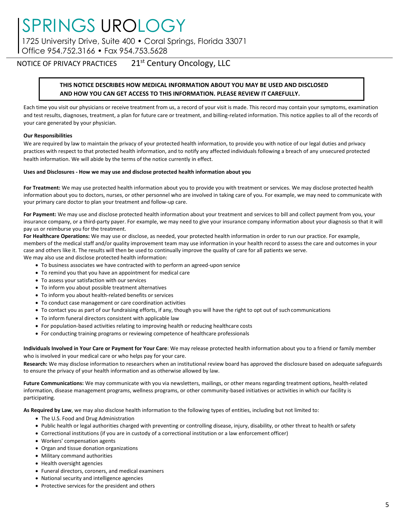1725 University Drive, Suite 400 • Coral Springs, Florida 33071 Office 954.752.3166 • Fax 954.753.5628

NOTICE OF PRIVACY PRACTICES 21<sup>st</sup> Century Oncology, LLC

#### **THIS NOTICE DESCRIBES HOW MEDICAL INFORMATION ABOUT YOU MAY BE USED AND DISCLOSED AND HOW YOU CAN GET ACCESS TO THIS INFORMATION. PLEASE REVIEW IT CAREFULLY.**

Each time you visit our physicians or receive treatment from us, a record of your visit is made. This record may contain your symptoms, examination and test results, diagnoses, treatment, a plan for future care or treatment, and billing-related information. This notice applies to all of the records of your care generated by your physician.

#### **Our Responsibilities**

We are required by law to maintain the privacy of your protected health information, to provide you with notice of our legal duties and privacy practices with respect to that protected health information, and to notify any affected individuals following a breach of any unsecured protected health information. We will abide by the terms of the notice currently in effect.

#### **Uses and Disclosures - How we may use and disclose protected health information about you**

**For Treatment:** We may use protected health information about you to provide you with treatment or services. We may disclose protected health information about you to doctors, nurses, or other personnel who are involved in taking care of you. For example, we may need to communicate with your primary care doctor to plan your treatment and follow-up care.

**For Payment:** We may use and disclose protected health information about your treatment and services to bill and collect payment from you, your insurance company, or a third-party payer. For example, we may need to give your insurance company information about your diagnosis so that it will pay us or reimburse you for the treatment.

**For Healthcare Operations:** We may use or disclose, as needed, your protected health information in order to run our practice. For example, members of the medical staff and/or quality improvement team may use information in your health record to assess the care and outcomes in your case and others like it. The results will then be used to continually improve the quality of care for all patients we serve. We may also use and disclose protected health information:

- To business associates we have contracted with to perform an agreed-upon service
- To remind you that you have an appointment for medical care
- To assess your satisfaction with our services
- To inform you about possible treatment alternatives
- To inform you about health-related benefits or services
- To conduct case management or care coordination activities
- To contact you as part of our fundraising efforts, if any, though you will have the right to opt out of suchcommunications
- To inform funeral directors consistent with applicable law
- For population-based activities relating to improving health or reducing healthcare costs
- For conducting training programs or reviewing competence of healthcare professionals

**Individuals Involved in Your Care or Payment for Your Care**: We may release protected health information about you to a friend or family member who is involved in your medical care or who helps pay for your care.

**Research:** We may disclose information to researchers when an institutional review board has approved the disclosure based on adequate safeguards to ensure the privacy of your health information and as otherwise allowed by law.

**Future Communications:** We may communicate with you via newsletters, mailings, or other means regarding treatment options, health-related information, disease management programs, wellness programs, or other community-based initiatives or activities in which our facility is participating.

**As Required by Law**, we may also disclose health information to the following types of entities, including but not limited to:

- The U.S. Food and Drug Administration
- Public health or legal authorities charged with preventing or controlling disease, injury, disability, or other threat to health orsafety
- Correctional institutions (if you are in custody of a correctional institution or a law enforcement officer)
- Workers' compensation agents
- Organ and tissue donation organizations
- Military command authorities
- Health oversight agencies
- Funeral directors, coroners, and medical examiners
- National security and intelligence agencies
- Protective services for the president and others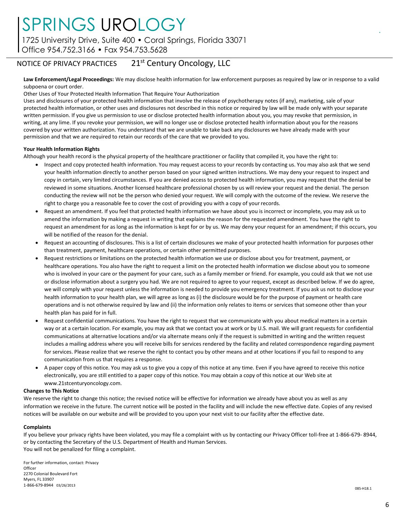1725 University Drive, Suite 400 · Coral Springs, Florida 33071

Office 954.752.3166 • Fax 954.753.5628

## NOTICE OF PRIVACY PRACTICES 21<sup>st</sup> Century Oncology, LLC

**Law Enforcement/Legal Proceedings:** We may disclose health information for law enforcement purposes as required by law or in response to a valid subpoena or court order.

Other Uses of Your Protected Health Information That Require Your Authorization

Uses and disclosures of your protected health information that involve the release of psychotherapy notes (if any), marketing, sale of your protected health information, or other uses and disclosures not described in this notice or required by law will be made only with your separate written permission. If you give us permission to use or disclose protected health information about you, you may revoke that permission, in writing, at any lime. If you revoke your permission, we will no longer use or disclose protected health information about you for the reasons covered by your written authorization. You understand that we are unable to take back any disclosures we have already made with your permission and that we are required to retain our records of the care that we provided to you.

#### **Your Health Information Rights**

Although your health record is the physical property of the healthcare practitioner or facility that compiled it, you have the right to:

- Inspect and copy protected health information. You may request access to your records by contacting us. You may also ask that we send your health information directly to another person based on your signed written instructions. We may deny your request to inspect and copy in certain, very limited circumstances. If you are denied access to protected health information, you may request that the denial be reviewed in some situations. Another licensed healthcare professional chosen by us will review your request and the denial. The person conducting the review will not be the person who denied your request. We will comply with the outcome of the review. We reserve the right to charge you a reasonable fee to cover the cost of providing you with a copy of your records.
- Request an amendment. If you feel that protected health information we have about you is incorrect or incomplete, you may ask us to amend the information by making a request in writing that explains the reason for the requested amendment. You have the right to request an amendment for as long as the information is kept for or by us. We may deny your request for an amendment; if this occurs, you will be notified of the reason for the denial.
- Request an accounting of disclosures. This is a list of certain disclosures we make of your protected health information for purposes other than treatment, payment, healthcare operations, or certain other permitted purposes.
- Request restrictions or limitations on the protected health information we use or disclose about you for treatment, payment, or healthcare operations. You also have the right to request a limit on the protected health information we disclose about you to someone who is involved in your care or the payment for your care, such as a family member or friend. For example, you could ask that we not use or disclose information about a surgery you had. We are not required to agree to your request, except as described below. If we do agree, we will comply with your request unless the information is needed to provide you emergency treatment. If you ask us not to disclose your health information to your health plan, we will agree as long as (i) the disclosure would be for the purpose of payment or health care operations and is not otherwise required by law and (ii) the information only relates to items or services that someone other than your health plan has paid for in full.
- Request confidential communications. You have the right to request that we communicate with you about medical matters in a certain way or at a certain location. For example, you may ask that we contact you at work or by U.S. mail. We will grant requests for confidential communications at alternative locations and/or via alternate means only if the request is submitted in writing and the written request includes a mailing address where you will receive bills for services rendered by the facility and related correspondence regarding payment for services. Please realize that we reserve the right to contact you by other means and at other locations if you fail to respond to any communication from us that requires a response.
- A paper copy of this notice. You may ask us to give you a copy of this notice at any time. Even if you have agreed to receive this notice electronically, you are still entitled to a paper copy of this notice. You may obtain a copy of this notice at our Web site a[t](http://www.21stcenturyoncology.com/) [www.21stcenturyoncology.com.](http://www.21stcenturyoncology.com/)

#### **Changes to This Notice**

We reserve the right to change this notice; the revised notice will be effective for information we already have about you as well as any information we receive in the future. The current notice will be posted in the facility and will include the new effective date. Copies of any revised notices will be available on our website and will be provided to you upon your next visit to our facility after the effective date.

#### **Complaints**

If you believe your privacy rights have been violated, you may file a complaint with us by contacting our Privacy Officer toll-free at 1-866-679- 8944, or by contacting the Secretary of the U.S. Department of Health and Human Services. You will not be penalized for filing a complaint.

For further information, contact: Privacy **Officer** 2270 Colonial Boulevard Fort Myers, FL 33907 1-866-679-8944 03/26/2013

.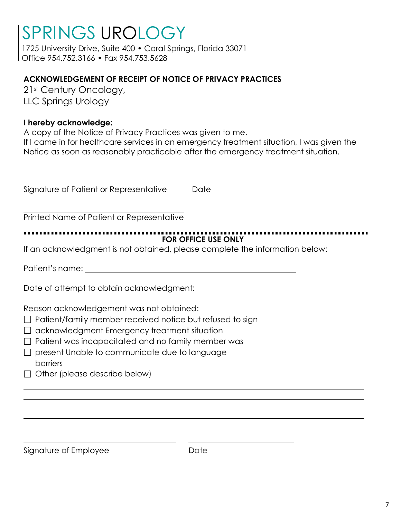1725 University Drive, Suite 400 • Coral Springs, Florida 33071 Office 954.752.3166 • Fax 954.753.5628

## **ACKNOWLEDGEMENT OF RECEIPT OF NOTICE OF PRIVACY PRACTICES**

21st Century Oncology, LLC Springs Urology

## **I hereby acknowledge:**

A copy of the Notice of Privacy Practices was given to me. If I came in for healthcare services in an emergency treatment situation, I was given the Notice as soon as reasonably practicable after the emergency treatment situation.

Signature of Patient or Representative Date Printed Name of Patient or Representative **FOR OFFICE USE ONLY** If an acknowledgment is not obtained, please complete the information below: Patient's name: Date of attempt to obtain acknowledgment: Reason acknowledgement was not obtained:  $\Box$  Patient/family member received notice but refused to sign  $\Box$  acknowledgment Emergency treatment situation  $\Box$  Patient was incapacitated and no family member was  $\Box$  present Unable to communicate due to language barriers  $\Box$  Other (please describe below)

Signature of Employee **Date** Date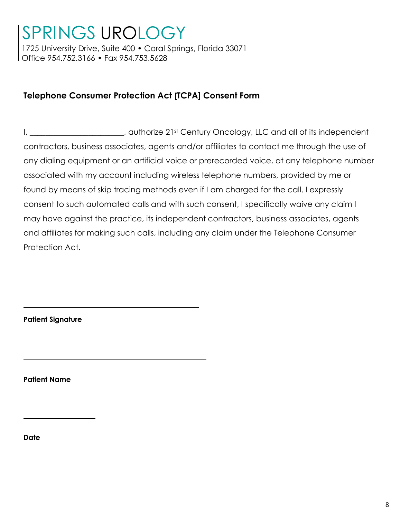1725 University Drive, Suite 400 • Coral Springs, Florida 33071 Office 954.752.3166 • Fax 954.753.5628

## **Telephone Consumer Protection Act [TCPA] Consent Form**

I, \_\_\_\_\_\_\_\_\_\_\_\_\_\_\_\_\_\_\_\_\_, authorize 21st Century Oncology, LLC and all of its independent contractors, business associates, agents and/or affiliates to contact me through the use of any dialing equipment or an artificial voice or prerecorded voice, at any telephone number associated with my account including wireless telephone numbers, provided by me or found by means of skip tracing methods even if I am charged for the call. I expressly consent to such automated calls and with such consent, I specifically waive any claim I may have against the practice, its independent contractors, business associates, agents and affiliates for making such calls, including any claim under the Telephone Consumer Protection Act.

**Patient Signature**

**Patient Name**

**Date**